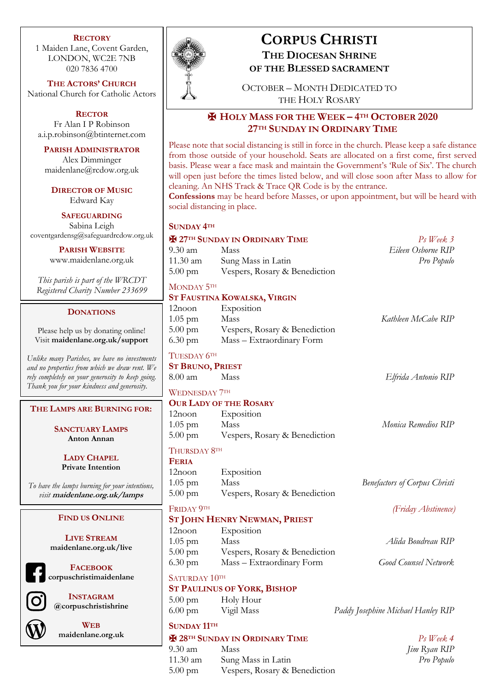### **RECTORY**

1 Maiden Lane, Covent Garden, LONDON, WC2E 7NB 020 7836 4700

**THE ACTORS' CHURCH** National Church for Catholic Actors

**RECTOR** Fr Alan I P Robinson a.i.p.robinson@btinternet.com

**PARISH ADMINISTRATOR** Alex Dimminger maidenlane@rcdow.org.uk

**DIRECTOR OF MUSIC** Edward Kay

**SAFEGUARDING** Sabina Leigh coventgardensg@safeguardrcdow.org.uk

> **PARISH WEBSITE** www.maidenlane.org.uk

*This parish is part of the WRCDT Registered Charity Number 233699*

### **DONATIONS**

Please help us by donating online! Visit **maidenlane.org.uk/support**

*Unlike many Parishes, we have no investments and no properties from which we draw rent. We rely completely on your generosity to keep going. Thank you for your kindness and generosity.* 

**THE LAMPS ARE BURNING FOR:**

**SANCTUARY LAMPS Anton Annan**

**LADY CHAPEL Private Intention**

*To have the lamps burning for your intentions, visit* **maidenlane.org.uk/lamps**

### **FIND US ONLINE**

**LIVE STREAM maidenlane.org.uk/live**

**FACEBOOK corpuschristimaidenlane**

> **INSTAGRAM @corpuschristishrine**



**WEB maidenlane.org.uk**



# **CORPUS CHRISTI THE DIOCESAN SHRINE**

**OF THE BLESSED SACRAMENT**

OCTOBER – MONTH DEDICATED TO THE HOLY ROSARY

## ✠ **HOLY MASS FOR THE WEEK – 4TH OCTOBER 2020 27TH SUNDAY IN ORDINARY TIME**

Please note that social distancing is still in force in the church. Please keep a safe distance from those outside of your household. Seats are allocated on a first come, first served basis. Please wear a face mask and maintain the Government's 'Rule of Six'. The church will open just before the times listed below, and will close soon after Mass to allow for cleaning. An NHS Track & Trace QR Code is by the entrance.

**Confessions** may be heard before Masses, or upon appointment, but will be heard with social distancing in place.

| <b>SUNDAY 4TH</b>       |                                       |                                      |
|-------------------------|---------------------------------------|--------------------------------------|
|                         | <b>E 27TH SUNDAY IN ORDINARY TIME</b> | $Ps$ Week $3$                        |
| 9.30 am                 | Mass                                  | Eileen Osborne RIP                   |
| 11.30 am                | Sung Mass in Latin                    | Pro Populo                           |
| $5.00 \text{ pm}$       | Vespers, Rosary & Benediction         |                                      |
| MONDAY 5TH              |                                       |                                      |
|                         | ST FAUSTINA KOWALSKA, VIRGIN          |                                      |
| $12$ noon               | Exposition                            |                                      |
| $1.05$ pm               | Mass                                  | Kathleen McCabe RIP                  |
| 5.00 pm                 | Vespers, Rosary & Benediction         |                                      |
| $6.30 \text{ pm}$       | Mass – Extraordinary Form             |                                      |
| TUESDAY 6TH             |                                       |                                      |
| <b>ST BRUNO, PRIEST</b> |                                       |                                      |
| 8.00 am                 | Mass                                  | Elfrida Antonio RIP                  |
| <b>WEDNESDAY 7TH</b>    |                                       |                                      |
|                         | <b>OUR LADY OF THE ROSARY</b>         |                                      |
| 12noon                  | Exposition                            |                                      |
| $1.05$ pm               | Mass                                  | Monica Remedios RIP                  |
| $5.00 \text{ pm}$       | Vespers, Rosary & Benediction         |                                      |
| Thursday 8th            |                                       |                                      |
| <b>FERIA</b>            |                                       |                                      |
| $12$ noon               | Exposition                            |                                      |
| $1.05$ pm               | Mass                                  | <b>Benefactors of Corpus Christi</b> |
| $5.00 \text{ pm}$       | Vespers, Rosary & Benediction         |                                      |
| FRIDAY 9TH              |                                       | (Friday Abstinence)                  |
|                         | <b>ST JOHN HENRY NEWMAN, PRIEST</b>   |                                      |
| $12$ noon               | Exposition                            |                                      |
| $1.05$ pm               | Mass                                  | Alida Boudreau RIP                   |
| $5.00 \text{ pm}$       | Vespers, Rosary & Benediction         |                                      |
| 6.30 pm                 | Mass - Extraordinary Form             | <b>Good Counsel Network</b>          |
| SATURDAY 10TH           |                                       |                                      |
|                         | <b>ST PAULINUS OF YORK, BISHOP</b>    |                                      |
| $5.00 \text{ pm}$       | Holy Hour                             |                                      |

6.00 pm Vigil Mass *Paddy Josephine Michael Hanley RIP*

### **SUNDAY 11TH**

### ✠ **28TH SUNDAY IN ORDINARY TIME** *Ps Week 4*

9.30 am Mass *Jim Ryan RIP* 11.30 am Sung Mass in Latin *Pro Populo* 5.00 pm Vespers, Rosary & Benediction